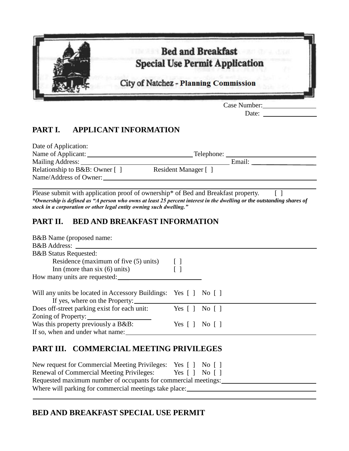

Date:

## **PART I. APPLICANT INFORMATION**

| Date of Application:                         |                      |        |
|----------------------------------------------|----------------------|--------|
| Name of Applicant:                           | Telephone:           |        |
| Mailing Address:                             |                      | Email: |
| Relationship to B&B: Owner $\lceil \ \rceil$ | Resident Manager [ ] |        |
| Name/Address of Owner:                       |                      |        |

Please submit with application proof of ownership\* of Bed and Breakfast property. [ ] *\*Ownership is defined as "A person who owns at least 25 percent interest in the dwelling or the outstanding shares of stock in a corporation or other legal entity owning such dwelling."*

## **PART II. BED AND BREAKFAST INFORMATION**

| B&B Name (proposed name:                                                                                        |                                                    |  |
|-----------------------------------------------------------------------------------------------------------------|----------------------------------------------------|--|
|                                                                                                                 |                                                    |  |
| <b>B&amp;B</b> Status Requested:                                                                                |                                                    |  |
| Residence (maximum of five $(5)$ units) []                                                                      |                                                    |  |
| Inn (more than six $(6)$ units)                                                                                 | $\lceil$ $\rceil$                                  |  |
|                                                                                                                 |                                                    |  |
|                                                                                                                 |                                                    |  |
| Will any units be located in Accessory Buildings: Yes [] No []                                                  |                                                    |  |
| If yes, where on the Property:                                                                                  |                                                    |  |
| Does off-street parking exist for each unit: Yes [] No []                                                       |                                                    |  |
| Zoning of Property:                                                                                             |                                                    |  |
| Was this property previously a B&B:                                                                             | Yes $\lceil \cdot \rceil$ No $\lceil \cdot \rceil$ |  |
|                                                                                                                 |                                                    |  |
|                                                                                                                 |                                                    |  |
| PART III. COMMERCIAL MEETING PRIVILEGES                                                                         |                                                    |  |
|                                                                                                                 |                                                    |  |
| New request for Commercial Meeting Privileges: Yes [] No []                                                     |                                                    |  |
| the contract of the contract of the contract of the contract of the contract of the contract of the contract of |                                                    |  |

| <b>Renewal of Commercial Meeting Privileges:</b>               | Yes $\lceil \cdot \rceil$ No $\lceil \cdot \rceil$ |  |
|----------------------------------------------------------------|----------------------------------------------------|--|
| Requested maximum number of occupants for commercial meetings: |                                                    |  |
| Where will parking for commercial meetings take place:         |                                                    |  |
|                                                                |                                                    |  |

## **BED AND BREAKFAST SPECIAL USE PERMIT**